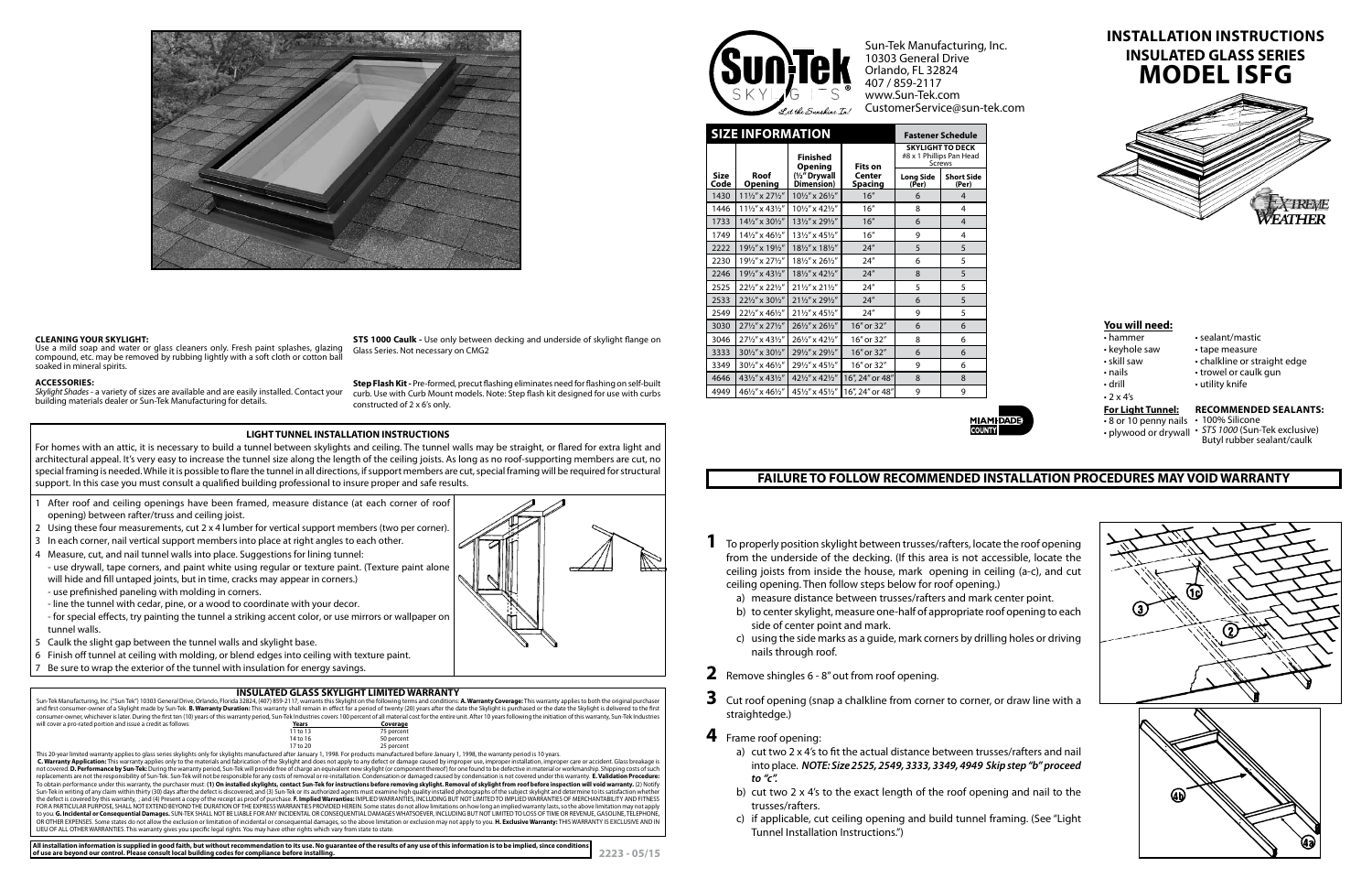| <b>SIZE INFORMATION</b> |                                        |                                   |                          | <b>Fastener Schedule</b>                                             |                            |
|-------------------------|----------------------------------------|-----------------------------------|--------------------------|----------------------------------------------------------------------|----------------------------|
|                         |                                        | <b>Finished</b><br><b>Opening</b> | Fits on                  | <b>SKYLIGHT TO DECK</b><br>#8 x 1 Phillips Pan Head<br><b>Screws</b> |                            |
| <b>Size</b><br>Code     | Roof<br><b>Opening</b>                 | (1/2" Drywall<br>Dimension)       | Center<br><b>Spacing</b> | <b>Long Side</b><br>(Per)                                            | <b>Short Side</b><br>(Per) |
| 1430                    | $11\frac{1}{2}$ " x $27\frac{1}{2}$ "  | 101/2" x 261/2"                   | 16"                      | 6                                                                    | $\overline{4}$             |
| 1446                    | $11\frac{1}{2}$ " x 43 $\frac{1}{2}$ " | 101/2" x 421/2"                   | 16"                      | 8                                                                    | 4                          |
| 1733                    | 141/2" x 301/2"                        | 131/2" x 291/2"                   | 16"                      | 6                                                                    | $\overline{4}$             |
| 1749                    | 141/2" x 461/2"                        | 131/2" x 451/2"                   | 16"                      | 9                                                                    | 4                          |
| 2222                    | 191/2" x 191/2"                        | 181/2" x 181/2"                   | 24''                     | 5                                                                    | 5                          |
| 2230                    | 191/2" x 271/2"                        | 181/2" x 261/2"                   | 24''                     | 6                                                                    | 5                          |
| 2246                    | 191/2" x 431/2"                        | 181/2" x 421/2"                   | 24''                     | 8                                                                    | 5                          |
| 2525                    | 221/2" x 221/2"                        | 211/2" x 211/2"                   | 24"                      | 5                                                                    | 5                          |
| 2533                    | 221/2" x 301/2"                        | 211/2" x 291/2"                   | 24''                     | 6                                                                    | 5                          |
| 2549                    | 221/2" x 461/2"                        | 211/2" x 451/2"                   | 24''                     | 9                                                                    | 5                          |
| 3030                    | 271/2" x 271/2"                        | 261/2" x 261/2"                   | 16" or 32"               | 6                                                                    | 6                          |
| 3046                    | 271/2" x 431/2"                        | 261/2" x 421/2"                   | 16" or 32"               | 8                                                                    | 6                          |
| 3333                    | 301/2" x 301/2"                        | 291/2" x 291/2"                   | 16" or 32"               | 6                                                                    | 6                          |
| 3349                    | 301/2" x 461/2"                        | 291/2" x 451/2"                   | 16" or 32"               | 9                                                                    | 6                          |
| 4646                    | 431/2" x 431/2"                        | 421/2" x 421/2"                   | 16", 24" or 48"          | 8                                                                    | 8                          |
| 4949                    | 461/2" x 461/2"                        | 451/2" x 451/2"                   | 16", 24" or 48"          | 9                                                                    | 9                          |



## **INSULATED GLASS SKYLIGHT LIMITED WARRANTY**

Sun-Tek Manufacturing, Inc. ("Sun Tek") 10303 General Drive, Orlando, Florida 32824, (407) 859-2117, warrants this Skylight on the following terms and conditions: **A. Warranty Coverage:** This warranty applies to both the o consumer-owner, whichever is later. During the first ten (10) years of this warranty period, Sun-Tek Industries covers 100 percent of all material cost for the entire unit. After 10 years following the initiation of this w will cover a pro-rated portion and issue a credit as follows: **Years Years Years Coverage**<br>11 to 13 75 percent 75 percent 14 to 16

| C. Warranty Application: This warranty applies only to the materials and fabrication of the Skylight and does not apply to any defect or damage caused by improper use, improper installation, improper care or accident. Glas      |
|-------------------------------------------------------------------------------------------------------------------------------------------------------------------------------------------------------------------------------------|
| not covered. D. Performance by Sun-Tek: During the warranty period, Sun-Tek will provide free of charge an equivalent new skylight (or component thereof) for one found to be defective in material or workmanship. Shipping c      |
| replacements are not the responsibility of Sun-Tek. Sun-Tek will not be responsible for any costs of removal or re-installation. Condensation or damaged caused by condensation is not covered under this warranty. E. Validat      |
| To obtain performance under this warranty, the purchaser must: (1) On installed skylights, contact Sun-Tek for instructions before removing skylight. Removal of skylight from roof before inspection will void warranty. (2)       |
| Sun-Tek in writing of any claim within thirty (30) days after the defect is discovered; and (3) Sun-Tek or its authorized agents must examine high quality installed photographs of the subject skylight and determine to its       |
| the defect is covered by this warranty, ; and (4) Present a copy of the receipt as proof of purchase. F. Implied Warranties: IMPLIED WARRANTIES, INCLUDING BUT NOT LIMITED TO IMPLIED WARRANTIES OF MERCHANTABILITY AND FITNES      |
| FOR A PARTICULAR PURPOSE, SHALL NOT EXTEND BEYOND THE DURATION OF THE EXPRESS WARRANTIES PROVIDED HEREIN. Some states do not allow limitations on how long an implied warranty lasts, so the above limitation may not apply         |
| to you. G. Incidental or Consequential Damages. SUN-TEK SHALL NOT BE LIABLE FOR ANY INCIDENTAL OR CONSEQUENTIAL DAMAGES WHATSOEVER, INCLUDING BUT NOT LIMITED TO LOSS OF TIME OR REVENUE, GASOLINE, TELEPHONE,                      |
| OR OTHER EXPENSES. Some states do not allow the exclusion or limitation of incidental or consequential damages, so the above limitation or exclusion may not apply to you. <b>H. Exclusive Warranty:</b> THIS WARRANTY IS EXCLUSIVE |
|                                                                                                                                                                                                                                     |
|                                                                                                                                                                                                                                     |
|                                                                                                                                                                                                                                     |

• plywood or drywall • STS 1000 (Sun-Tek exclusive) Butyl rubber sealant/caulk

 $\bf(3)$  $\circled{2}$ 

Skylight Shades - a variety of sizes are available and are easily installed. Contact your building materials dealer or Sun-Tek Manufacturing for details.

- 1 After roof and ceiling openings have been framed, measure distance (at each corner of roof opening) between rafter/truss and ceiling joist.
- 2 Using these four measurements, cut 2 x 4 lumber for vertical support members (two per corner).
- 3 In each corner, nail vertical support members into place at right angles to each other.
- 4 Measure, cut, and nail tunnel walls into place. Suggestions for lining tunnel:
- use drywall, tape corners, and paint white using regular or texture paint. (Texture paint alone will hide and fill untaped joints, but in time, cracks may appear in corners.)
- use prefinished paneling with molding in corners.
- line the tunnel with cedar, pine, or a wood to coordinate with your decor.
- for special effects, try painting the tunnel a striking accent color, or use mirrors or wallpaper on tunnel walls.
- 5 Caulk the slight gap between the tunnel walls and skylight base.
- 6 Finish off tunnel at ceiling with molding, or blend edges into ceiling with texture paint.
- Be sure to wrap the exterior of the tunnel with insulation for energy savings.





Sun-Tek Manufacturing, Inc. 10303 General Drive Orlando, FL 32824 407 / 859-2117 www.Sun-Tek.com CustomerService@sun-tek.com

## **You will need:**

- 
- 
- 
- 
- 
- $\cdot$  2 x 4's

### **For Light Tunnel:**

- 8 or 10 penny nails 100% Silicone
- 
- hammer sealant/mastic
- keyhole saw tape measure
- skill saw chalkline or straight edge
- nails trowel or caulk gun
- drill utility knife

### **Recommended Sealants:**

# **FAILURE TO FOLLOW RECOMMENDED INSTALLATION PROCEDURES MAY VOID WARRANTY**

# **MODEL ISFG Installation Instructions INSULATED GLASS SERIES**



- **1** To properly position skylight between trusses/rafters, locate the roof opening from the underside of the decking. (If this area is not accessible, locate the ceiling joists from inside the house, mark opening in ceiling (a-c), and cut ceiling opening. Then follow steps below for roof opening.)
	- a) measure distance between trusses/rafters and mark center point.
	- b) to center skylight, measure one-half of appropriate roof opening to each side of center point and mark.
	- c) using the side marks as a guide, mark corners by drilling holes or driving nails through roof.
- **2** Remove shingles 6 8" out from roof opening.
- **3** Cut roof opening (snap a chalkline from corner to corner, or draw line with a straightedge.)
- **4** Frame roof opening:
	- a) cut two 2 x 4's to fit the actual distance between trusses/rafters and nail into place. *NOTE: Size 2525, 2549, 3333, 3349, 4949 Skip step "b" proceed to "c".*
	- b) cut two 2 x 4's to the exact length of the roof opening and nail to the trusses/rafters.
	- c) if applicable, cut ceiling opening and build tunnel framing. (See "Light Tunnel Installation Instructions.")



### **Cleaning Your Skylight:**

Use a mild soap and water or glass cleaners only. Fresh paint splashes, glazing compound, etc. may be removed by rubbing lightly with a soft cloth or cotton bal soaked in mineral spirits.

**STS 1000 Caulk -** Use only between decking and underside of skylight flange on Glass Series. Not necessary on CMG2

#### **Accessories:**

**Step Flash Kit -** Pre-formed, precut flashing eliminates need for flashing on self-built curb. Use with Curb Mount models. Note: Step flash kit designed for use with curbs constructed of 2 x 6's only.

### **LIGHT TUNNEL INSTALLATION INSTRUCTIONS**

For homes with an attic, it is necessary to build a tunnel between skylights and ceiling. The tunnel walls may be straight, or flared for extra light and architectural appeal. It's very easy to increase the tunnel size along the length of the ceiling joists. As long as no roof-supporting members are cut, no special framing is needed. While it is possible to flare the tunnel in all directions, if support members are cut, special framing will be required for structural support. In this case you must consult a qualified building professional to insure proper and safe results.